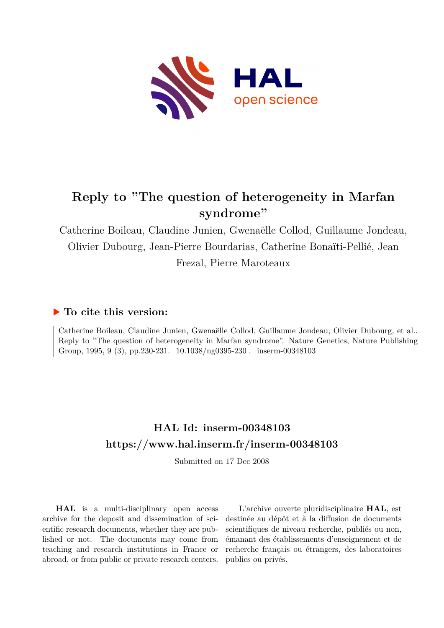

# **Reply to "The question of heterogeneity in Marfan syndrome"**

Catherine Boileau, Claudine Junien, Gwenaëlle Collod, Guillaume Jondeau, Olivier Dubourg, Jean-Pierre Bourdarias, Catherine Bonaïti-Pellié, Jean Frezal, Pierre Maroteaux

## **To cite this version:**

Catherine Boileau, Claudine Junien, Gwenaëlle Collod, Guillaume Jondeau, Olivier Dubourg, et al.. Reply to "The question of heterogeneity in Marfan syndrome". Nature Genetics, Nature Publishing Group, 1995, 9 (3), pp.230-231.  $10.1038/\text{ng}0395-230$ . inserm-00348103

# **HAL Id: inserm-00348103 <https://www.hal.inserm.fr/inserm-00348103>**

Submitted on 17 Dec 2008

**HAL** is a multi-disciplinary open access archive for the deposit and dissemination of scientific research documents, whether they are published or not. The documents may come from teaching and research institutions in France or abroad, or from public or private research centers.

L'archive ouverte pluridisciplinaire **HAL**, est destinée au dépôt et à la diffusion de documents scientifiques de niveau recherche, publiés ou non, émanant des établissements d'enseignement et de recherche français ou étrangers, des laboratoires publics ou privés.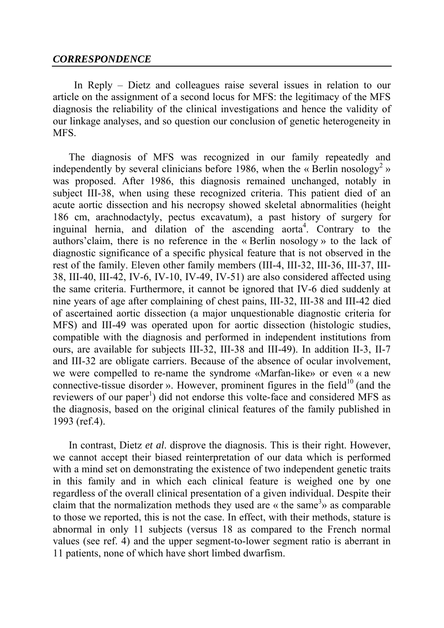## *CORRESPONDENCE*

In Reply – Dietz and colleagues raise several issues in relation to our article on the assignment of a second locus for MFS: the legitimacy of the MFS diagnosis the reliability of the clinical investigations and hence the validity of our linkage analyses, and so question our conclusion of genetic heterogeneity in MFS.

The diagnosis of MFS was recognized in our family repeatedly and independently by several clinicians before 1986, when the « Berlin nosology<sup>2</sup> » was proposed. After 1986, this diagnosis remained unchanged, notably in subject III-38, when using these recognized criteria. This patient died of an acute aortic dissection and his necropsy showed skeletal abnormalities (height 186 cm, arachnodactyly, pectus excavatum), a past history of surgery for inguinal hernia, and dilation of the ascending aorta<sup>4</sup>. Contrary to the authors'claim, there is no reference in the « Berlin nosology » to the lack of diagnostic significance of a specific physical feature that is not observed in the rest of the family. Eleven other family members (III-4, III-32, III-36, III-37, III-38, III-40, III-42, IV-6, IV-10, IV-49, IV-51) are also considered affected using the same criteria. Furthermore, it cannot be ignored that IV-6 died suddenly at nine years of age after complaining of chest pains, III-32, III-38 and III-42 died of ascertained aortic dissection (a major unquestionable diagnostic criteria for MFS) and III-49 was operated upon for aortic dissection (histologic studies, compatible with the diagnosis and performed in independent institutions from ours, are available for subjects III-32, III-38 and III-49). In addition II-3, II-7 and III-32 are obligate carriers. Because of the absence of ocular involvement, we were compelled to re-name the syndrome «Marfan-like» or even « a new connective-tissue disorder ». However, prominent figures in the field<sup>10</sup> (and the reviewers of our paper<sup>1</sup>) did not endorse this volte-face and considered MFS as the diagnosis, based on the original clinical features of the family published in 1993 (ref.4).

In contrast, Dietz *et al*. disprove the diagnosis. This is their right. However, we cannot accept their biased reinterpretation of our data which is performed with a mind set on demonstrating the existence of two independent genetic traits in this family and in which each clinical feature is weighed one by one regardless of the overall clinical presentation of a given individual. Despite their claim that the normalization methods they used are  $\kappa$  the same<sup>3</sup> $\kappa$  as comparable to those we reported, this is not the case. In effect, with their methods, stature is abnormal in only 11 subjects (versus 18 as compared to the French normal values (see ref. 4) and the upper segment-to-lower segment ratio is aberrant in 11 patients, none of which have short limbed dwarfism.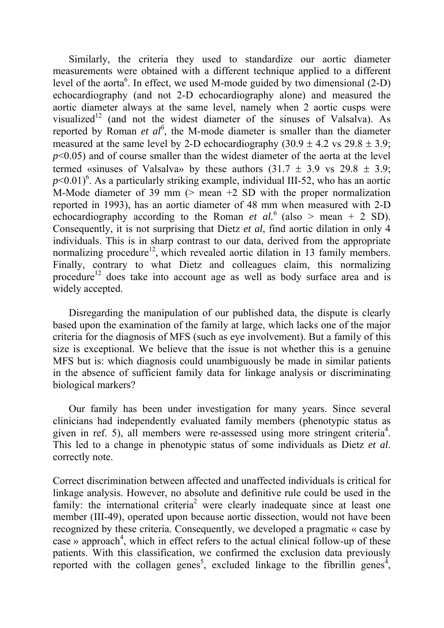Similarly, the criteria they used to standardize our aortic diameter measurements were obtained with a different technique applied to a different level of the aorta<sup>6</sup>. In effect, we used M-mode guided by two dimensional  $(2-D)$ echocardiography (and not 2-D echocardiography alone) and measured the aortic diameter always at the same level, namely when 2 aortic cusps were visualized<sup>12</sup> (and not the widest diameter of the sinuses of Valsalva). As reported by Roman *et al*<sup>6</sup>, the M-mode diameter is smaller than the diameter measured at the same level by 2-D echocardiography  $(30.9 \pm 4.2 \text{ vs } 29.8 \pm 3.9)$ ; *p*<0.05) and of course smaller than the widest diameter of the aorta at the level termed «sinuses of Valsalva» by these authors  $(31.7 \pm 3.9 \text{ vs } 29.8 \pm 3.9)$ ;  $p$ <0.01)<sup>6</sup>. As a particularly striking example, individual III-52, who has an aortic M-Mode diameter of 39 mm  $($ > mean  $+2$  SD with the proper normalization reported in 1993), has an aortic diameter of 48 mm when measured with 2-D echocardiography according to the Roman *et al.*<sup>6</sup> (also > mean + 2 SD). Consequently, it is not surprising that Dietz *et al*, find aortic dilation in only 4 individuals. This is in sharp contrast to our data, derived from the appropriate normalizing procedure<sup>12</sup>, which revealed aortic dilation in 13 family members. Finally, contrary to what Dietz and colleagues claim, this normalizing procedure<sup>12</sup> does take into account age as well as body surface area and is widely accepted.

Disregarding the manipulation of our published data, the dispute is clearly based upon the examination of the family at large, which lacks one of the major criteria for the diagnosis of MFS (such as eye involvement). But a family of this size is exceptional. We believe that the issue is not whether this is a genuine MFS but is: which diagnosis could unambiguously be made in similar patients in the absence of sufficient family data for linkage analysis or discriminating biological markers?

Our family has been under investigation for many years. Since several clinicians had independently evaluated family members (phenotypic status as given in ref. 5), all members were re-assessed using more stringent criteria<sup>4</sup>. This led to a change in phenotypic status of some individuals as Dietz *et al*. correctly note.

Correct discrimination between affected and unaffected individuals is critical for linkage analysis. However, no absolute and definitive rule could be used in the family: the international criteria<sup>2</sup> were clearly inadequate since at least one member (III-49), operated upon because aortic dissection, would not have been recognized by these criteria. Consequently, we developed a pragmatic « case by case » approach<sup>4</sup>, which in effect refers to the actual clinical follow-up of these patients. With this classification, we confirmed the exclusion data previously reported with the collagen genes<sup>5</sup>, excluded linkage to the fibrillin genes<sup>4</sup>,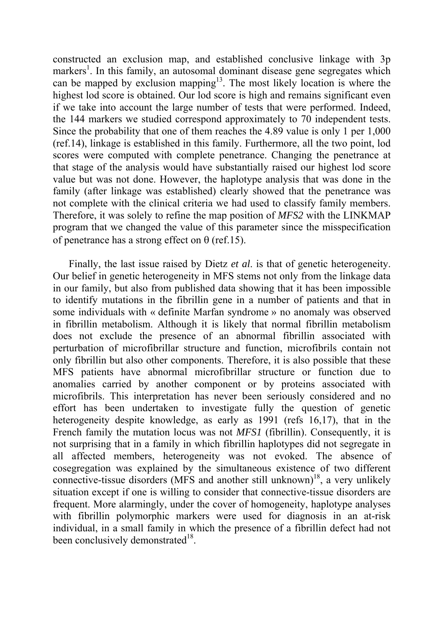constructed an exclusion map, and established conclusive linkage with 3p markers<sup>1</sup>. In this family, an autosomal dominant disease gene segregates which can be mapped by exclusion mapping<sup>13</sup>. The most likely location is where the highest lod score is obtained. Our lod score is high and remains significant even if we take into account the large number of tests that were performed. Indeed, the 144 markers we studied correspond approximately to 70 independent tests. Since the probability that one of them reaches the 4.89 value is only 1 per 1,000 (ref.14), linkage is established in this family. Furthermore, all the two point, lod scores were computed with complete penetrance. Changing the penetrance at that stage of the analysis would have substantially raised our highest lod score value but was not done. However, the haplotype analysis that was done in the family (after linkage was established) clearly showed that the penetrance was not complete with the clinical criteria we had used to classify family members. Therefore, it was solely to refine the map position of *MFS2* with the LINKMAP program that we changed the value of this parameter since the misspecification of penetrance has a strong effect on  $\theta$  (ref.15).

Finally, the last issue raised by Dietz *et al*. is that of genetic heterogeneity. Our belief in genetic heterogeneity in MFS stems not only from the linkage data in our family, but also from published data showing that it has been impossible to identify mutations in the fibrillin gene in a number of patients and that in some individuals with « definite Marfan syndrome » no anomaly was observed in fibrillin metabolism. Although it is likely that normal fibrillin metabolism does not exclude the presence of an abnormal fibrillin associated with perturbation of microfibrillar structure and function, microfibrils contain not only fibrillin but also other components. Therefore, it is also possible that these MFS patients have abnormal microfibrillar structure or function due to anomalies carried by another component or by proteins associated with microfibrils. This interpretation has never been seriously considered and no effort has been undertaken to investigate fully the question of genetic heterogeneity despite knowledge, as early as 1991 (refs 16,17), that in the French family the mutation locus was not *MFS1* (fibrillin). Consequently, it is not surprising that in a family in which fibrillin haplotypes did not segregate in all affected members, heterogeneity was not evoked. The absence of cosegregation was explained by the simultaneous existence of two different connective-tissue disorders (MFS and another still unknown)<sup>18</sup>, a very unlikely situation except if one is willing to consider that connective-tissue disorders are frequent. More alarmingly, under the cover of homogeneity, haplotype analyses with fibrillin polymorphic markers were used for diagnosis in an at-risk individual, in a small family in which the presence of a fibrillin defect had not been conclusively demonstrated $18$ .